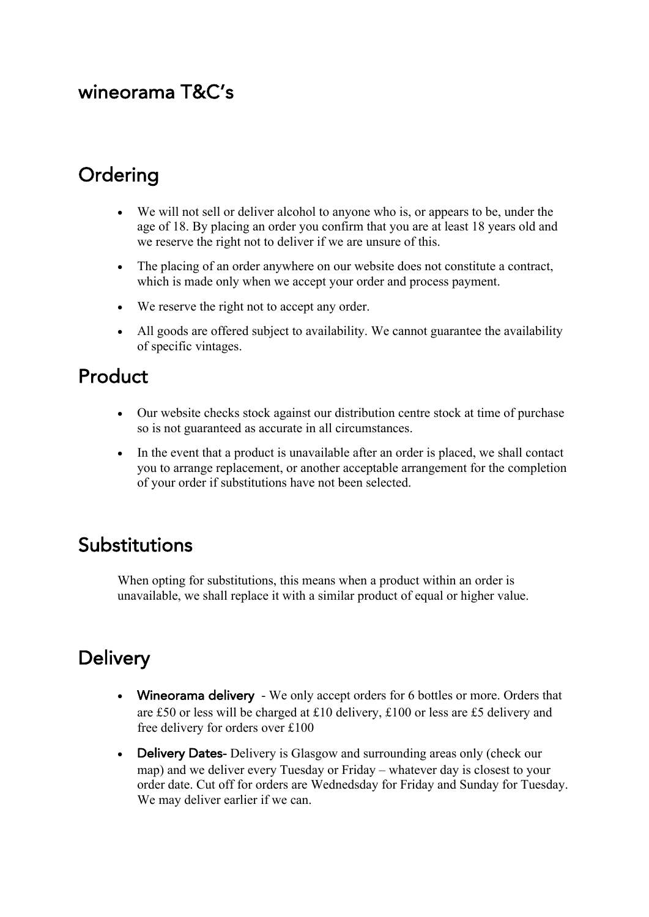#### wineorama T&C's

## **Ordering**

- We will not sell or deliver alcohol to anyone who is, or appears to be, under the age of 18. By placing an order you confirm that you are at least 18 years old and we reserve the right not to deliver if we are unsure of this.
- The placing of an order anywhere on our website does not constitute a contract, which is made only when we accept your order and process payment.
- We reserve the right not to accept any order.
- All goods are offered subject to availability. We cannot guarantee the availability of specific vintages.

#### Product

- Our website checks stock against our distribution centre stock at time of purchase so is not guaranteed as accurate in all circumstances.
- In the event that a product is unavailable after an order is placed, we shall contact you to arrange replacement, or another acceptable arrangement for the completion of your order if substitutions have not been selected.

#### Substitutions

When opting for substitutions, this means when a product within an order is unavailable, we shall replace it with a similar product of equal or higher value.

### **Delivery**

- Wineorama delivery We only accept orders for 6 bottles or more. Orders that are £50 or less will be charged at £10 delivery, £100 or less are £5 delivery and free delivery for orders over £100
- Delivery Dates- Delivery is Glasgow and surrounding areas only (check our map) and we deliver every Tuesday or Friday – whatever day is closest to your order date. Cut off for orders are Wednedsday for Friday and Sunday for Tuesday. We may deliver earlier if we can.